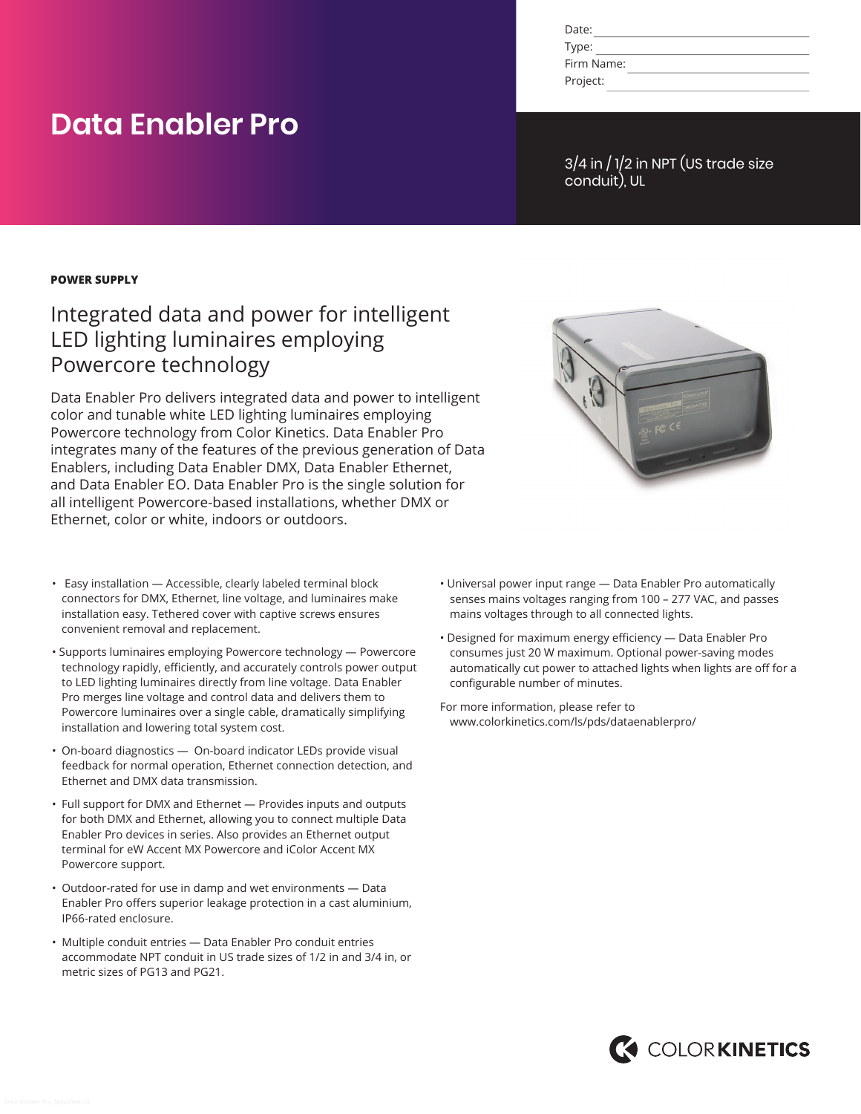| Date:      |  |
|------------|--|
| Type:      |  |
| Firm Name: |  |
| Project:   |  |

#### 3/4 in / 1/2 in NPT (US trade size conduit), UL

#### **POWER SUPPLY**

**Data Enabler Pro**

## Integrated data and power for intelligent LED lighting luminaires employing Powercore technology

Data Enabler Pro delivers integrated data and power to intelligent color and tunable white LED lighting luminaires employing Powercore technology from Color Kinetics. Data Enabler Pro integrates many of the features of the previous generation of Data Enablers, including Data Enabler DMX, Data Enabler Ethernet, and Data Enabler EO. Data Enabler Pro is the single solution for all intelligent Powercore-based installations, whether DMX or Ethernet, color or white, indoors or outdoors.

- Easy installation Accessible, clearly labeled terminal block connectors for DMX, Ethernet, line voltage, and luminaires make installation easy. Tethered cover with captive screws ensures convenient removal and replacement.
- Supports luminaires employing Powercore technology Powercore technology rapidly, efficiently, and accurately controls power output to LED lighting luminaires directly from line voltage. Data Enabler Pro merges line voltage and control data and delivers them to Powercore luminaires over a single cable, dramatically simplifying installation and lowering total system cost.
- On-board diagnostics On-board indicator LEDs provide visual feedback for normal operation, Ethernet connection detection, and Ethernet and DMX data transmission.
- Full support for DMX and Ethernet Provides inputs and outputs for both DMX and Ethernet, allowing you to connect multiple Data Enabler Pro devices in series. Also provides an Ethernet output terminal for eW Accent MX Powercore and iColor Accent MX Powercore support.
- Outdoor-rated for use in damp and wet environments Data Enabler Pro offers superior leakage protection in a cast aluminium, IP66-rated enclosure.
- Multiple conduit entries Data Enabler Pro conduit entries accommodate NPT conduit in US trade sizes of 1/2 in and 3/4 in, or metric sizes of PG13 and PG21.



- Universal power input range Data Enabler Pro automatically senses mains voltages ranging from 100 – 277 VAC, and passes mains voltages through to all connected lights.
- Designed for maximum energy efficiency Data Enabler Pro consumes just 20 W maximum. Optional power-saving modes automatically cut power to attached lights when lights are off for a configurable number of minutes.

For more information, please refer to www.colorkinetics.com/ls/pds/dataenablerpro/

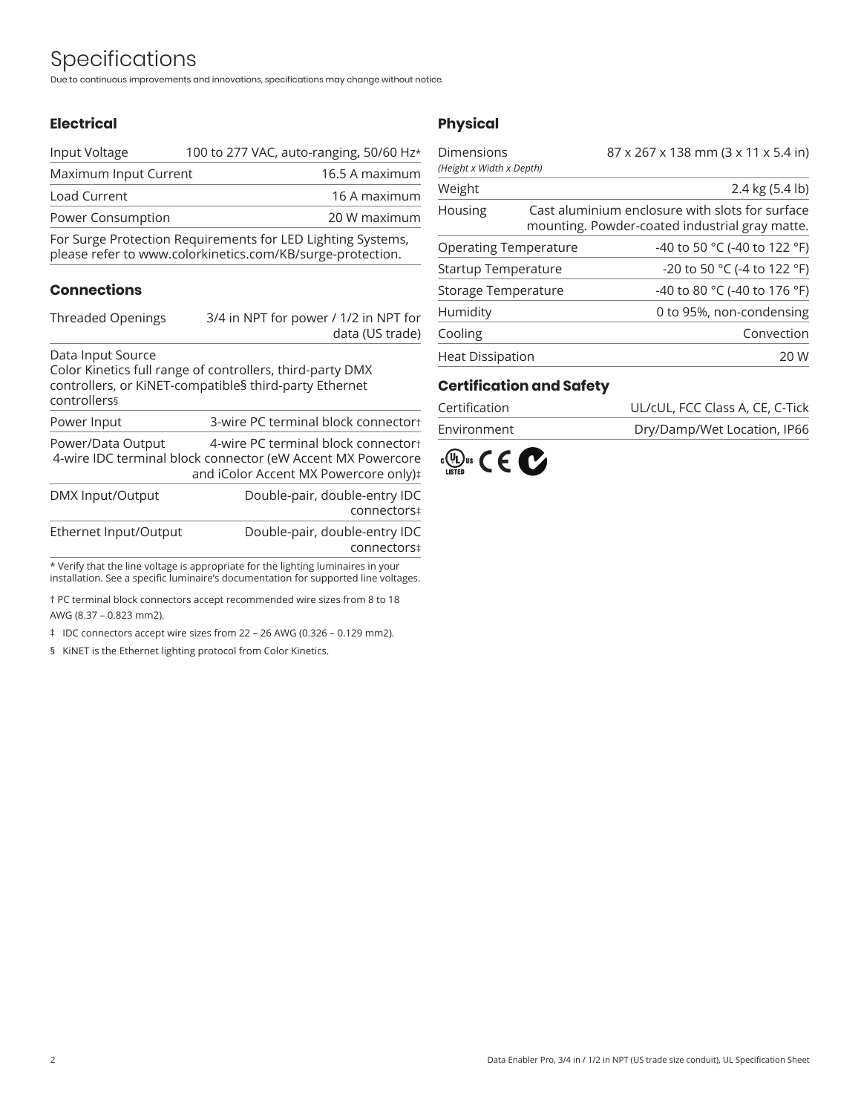# Specifications

Due to continuous improvements and innovations, specifications may change without notice.

#### **Electrical**

| Power Consumption     |                                         | 20 W maximum   |
|-----------------------|-----------------------------------------|----------------|
| Load Current          |                                         | 16 A maximum   |
| Maximum Input Current |                                         | 16.5 A maximum |
| Input Voltage         | 100 to 277 VAC, auto-ranging, 50/60 Hz* |                |

For Surge Protection Requirements for LED Lighting Systems, please refer to www.colorkinetics.com/KB/surge-protection.

#### **Connections**

| Threaded Openings | 3/4 in NPT for power / 1/2 in NPT for                     |  |  |
|-------------------|-----------------------------------------------------------|--|--|
|                   | data (US trade)                                           |  |  |
| Data Input Source |                                                           |  |  |
|                   | Color Kinotics full range of controllers, third party DMV |  |  |

Color Kinetics full range of controllers, third-party DMX controllers, or KiNET-compatible§ third-party Ethernet controllers§

| Power Input       | 3-wire PC terminal block connectort |
|-------------------|-------------------------------------|
| Power/Data Output | 4-wire PC terminal block connectort |

4-wire IDC terminal block connector (eW Accent MX Powercore and iColor Accent MX Powercore only)‡

| DMX Input/Output      | Double-pair, double-entry IDC |
|-----------------------|-------------------------------|
|                       | connectors‡                   |
| Ethernet Input/Output | Double-pair, double-entry IDC |
|                       | connectors‡                   |

\* Verify that the line voltage is appropriate for the lighting luminaires in your installation. See a specific luminaire's documentation for supported line voltages.

† PC terminal block connectors accept recommended wire sizes from 8 to 18 AWG (8.37 – 0.823 mm2).

‡ IDC connectors accept wire sizes from 22 – 26 AWG (0.326 – 0.129 mm2).

§ KiNET is the Ethernet lighting protocol from Color Kinetics.

#### **Physical**

| 87 x 267 x 138 mm (3 x 11 x 5.4 in)                                                               |  |
|---------------------------------------------------------------------------------------------------|--|
|                                                                                                   |  |
| 2.4 kg (5.4 lb)                                                                                   |  |
| Cast aluminium enclosure with slots for surface<br>mounting. Powder-coated industrial gray matte. |  |
| -40 to 50 °C (-40 to 122 °F)                                                                      |  |
| -20 to 50 °C (-4 to 122 °F)                                                                       |  |
| -40 to 80 °C (-40 to 176 °F)                                                                      |  |
| 0 to 95%, non-condensing                                                                          |  |
| Convection                                                                                        |  |
| 20 W                                                                                              |  |
|                                                                                                   |  |

#### **Certification and Safety**

| Certification | UL/cUL, FCC Class A, CE, C-Tick |
|---------------|---------------------------------|
| Environment   | Dry/Damp/Wet Location, IP66     |

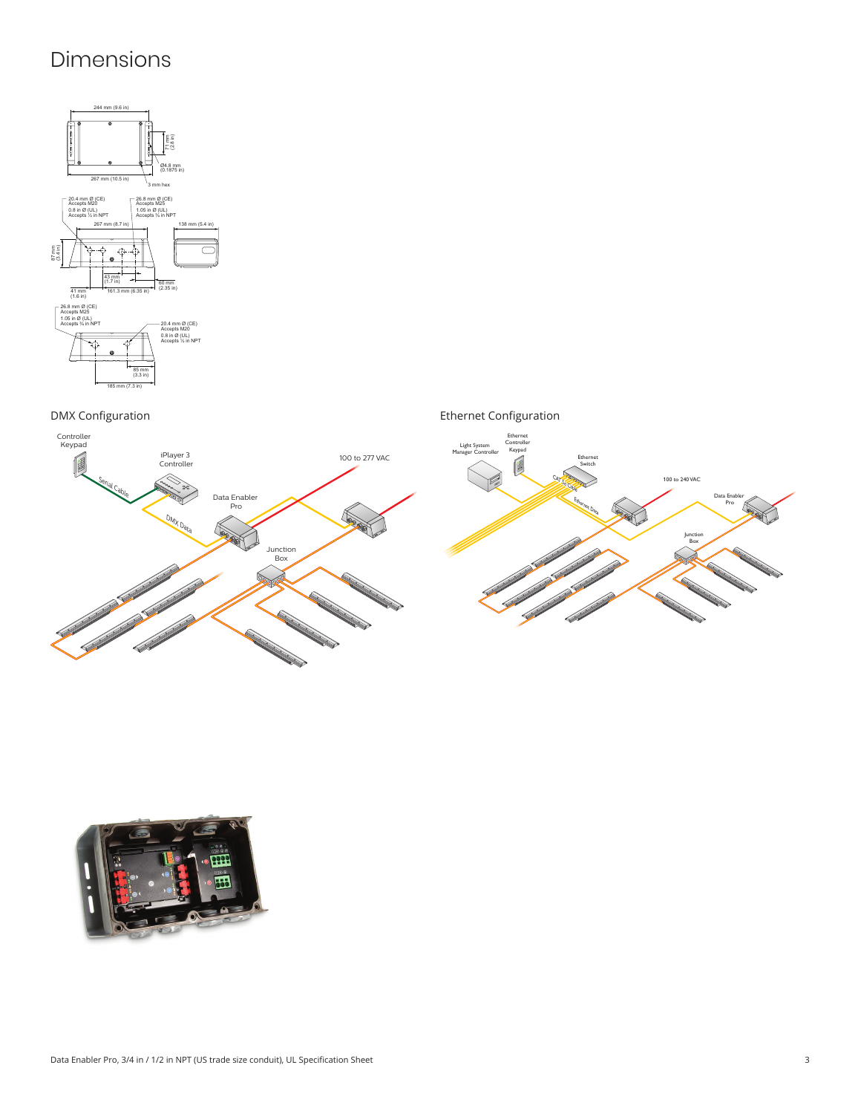# Dimensions



DMX Configuration Ethernet Configuration